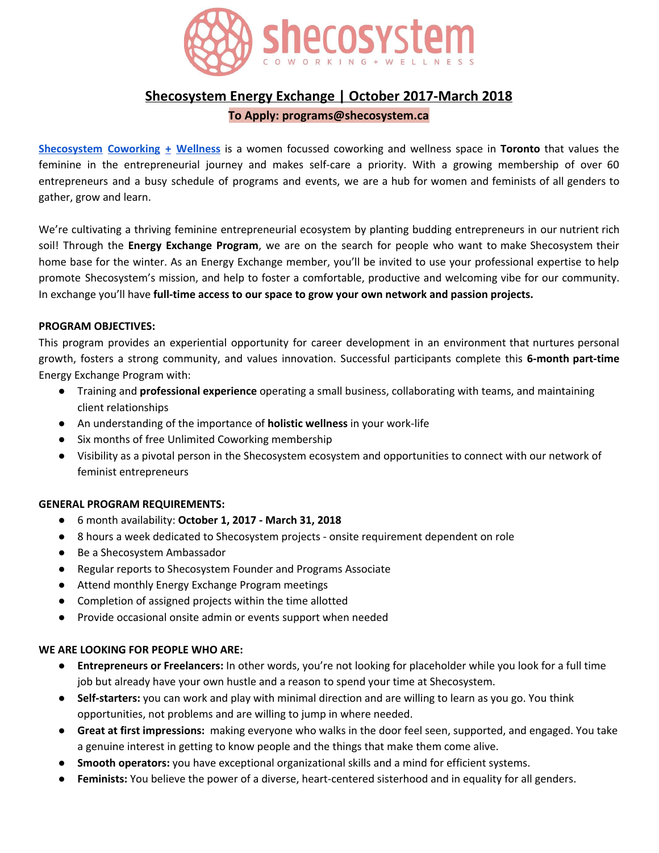

# **Shecosystem Energy Exchange | October 2017-March 2018**

## **To Apply: programs@shecosystem.ca**

**[Shecosystem](https://www.shecosystem.ca/) Coworking + Wellness** is a women focussed coworking and wellness space in **Toronto** that values the feminine in the entrepreneurial journey and makes self-care a priority. With a growing membership of over 60 entrepreneurs and a busy schedule of programs and events, we are a hub for women and feminists of all genders to gather, grow and learn.

We're cultivating a thriving feminine entrepreneurial ecosystem by planting budding entrepreneurs in our nutrient rich soil! Through the **Energy Exchange Program**, we are on the search for people who want to make Shecosystem their home base for the winter. As an Energy Exchange member, you'll be invited to use your professional expertise to help promote Shecosystem's mission, and help to foster a comfortable, productive and welcoming vibe for our community. In exchange you'll have **full-time access to our space to grow your own network and passion projects.**

## **PROGRAM OBJECTIVES:**

This program provides an experiential opportunity for career development in an environment that nurtures personal growth, fosters a strong community, and values innovation. Successful participants complete this **6-month part-time** Energy Exchange Program with:

- Training and **professional experience** operating a small business, collaborating with teams, and maintaining client relationships
- An understanding of the importance of **holistic wellness** in your work-life
- Six months of free Unlimited Coworking membership
- Visibility as a pivotal person in the Shecosystem ecosystem and opportunities to connect with our network of feminist entrepreneurs

## **GENERAL PROGRAM REQUIREMENTS:**

- 6 month availability: **October 1, 2017 - March 31, 2018**
- 8 hours a week dedicated to Shecosystem projects onsite requirement dependent on role
- Be a Shecosystem Ambassador
- Regular reports to Shecosystem Founder and Programs Associate
- Attend monthly Energy Exchange Program meetings
- Completion of assigned projects within the time allotted
- Provide occasional onsite admin or events support when needed

## **WE ARE LOOKING FOR PEOPLE WHO ARE:**

- **Entrepreneurs or Freelancers:** In other words, you're not looking for placeholder while you look for a full time job but already have your own hustle and a reason to spend your time at Shecosystem.
- **Self-starters:** you can work and play with minimal direction and are willing to learn as you go. You think opportunities, not problems and are willing to jump in where needed.
- **Great at first impressions:** making everyone who walks in the door feel seen, supported, and engaged. You take a genuine interest in getting to know people and the things that make them come alive.
- **Smooth operators:** you have exceptional organizational skills and a mind for efficient systems.
- **Feminists:** You believe the power of a diverse, heart-centered sisterhood and in equality for all genders.